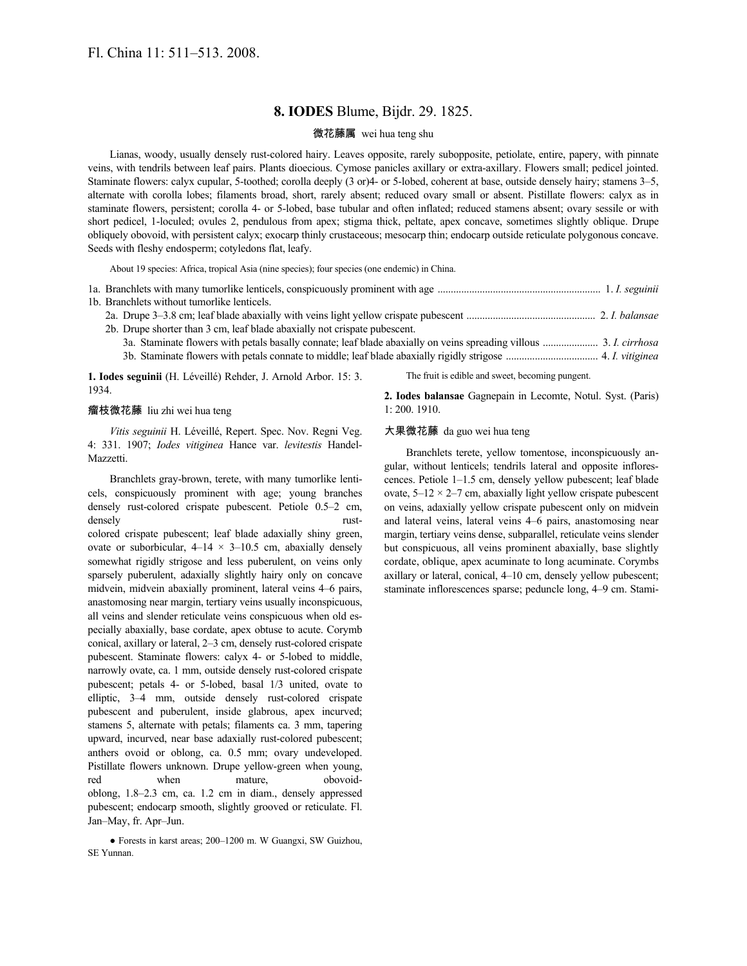# **8. IODES** Blume, Bijdr. 29. 1825.

## 微花藤属 wei hua teng shu

Lianas, woody, usually densely rust-colored hairy. Leaves opposite, rarely subopposite, petiolate, entire, papery, with pinnate veins, with tendrils between leaf pairs. Plants dioecious. Cymose panicles axillary or extra-axillary. Flowers small; pedicel jointed. Staminate flowers: calyx cupular, 5-toothed; corolla deeply (3 or)4- or 5-lobed, coherent at base, outside densely hairy; stamens 3–5, alternate with corolla lobes; filaments broad, short, rarely absent; reduced ovary small or absent. Pistillate flowers: calyx as in staminate flowers, persistent; corolla 4- or 5-lobed, base tubular and often inflated; reduced stamens absent; ovary sessile or with short pedicel, 1-loculed; ovules 2, pendulous from apex; stigma thick, peltate, apex concave, sometimes slightly oblique. Drupe obliquely obovoid, with persistent calyx; exocarp thinly crustaceous; mesocarp thin; endocarp outside reticulate polygonous concave. Seeds with fleshy endosperm; cotyledons flat, leafy.

About 19 species: Africa, tropical Asia (nine species); four species (one endemic) in China.

| 1b. Branchlets without tumorlike lenticels.                               |
|---------------------------------------------------------------------------|
|                                                                           |
| 2b. Drupe shorter than 3 cm, leaf blade abaxially not crispate pubescent. |
|                                                                           |
|                                                                           |
|                                                                           |

**1. Iodes seguinii** (H. Léveillé) Rehder, J. Arnold Arbor. 15: 3. 1934.

The fruit is edible and sweet, becoming pungent.

#### 瘤枝微花藤 liu zhi wei hua teng

*Vitis seguinii* H. Léveillé, Repert. Spec. Nov. Regni Veg. 4: 331. 1907; *Iodes vitiginea* Hance var. *levitestis* Handel-Mazzetti.

Branchlets gray-brown, terete, with many tumorlike lenticels, conspicuously prominent with age; young branches densely rust-colored crispate pubescent. Petiole 0.5–2 cm, densely rustcolored crispate pubescent; leaf blade adaxially shiny green, ovate or suborbicular,  $4-14 \times 3-10.5$  cm, abaxially densely somewhat rigidly strigose and less puberulent, on veins only sparsely puberulent, adaxially slightly hairy only on concave midvein, midvein abaxially prominent, lateral veins 4–6 pairs, anastomosing near margin, tertiary veins usually inconspicuous, all veins and slender reticulate veins conspicuous when old especially abaxially, base cordate, apex obtuse to acute. Corymb conical, axillary or lateral, 2–3 cm, densely rust-colored crispate pubescent. Staminate flowers: calyx 4- or 5-lobed to middle, narrowly ovate, ca. 1 mm, outside densely rust-colored crispate pubescent; petals 4- or 5-lobed, basal 1/3 united, ovate to elliptic, 3–4 mm, outside densely rust-colored crispate pubescent and puberulent, inside glabrous, apex incurved; stamens 5, alternate with petals; filaments ca. 3 mm, tapering upward, incurved, near base adaxially rust-colored pubescent; anthers ovoid or oblong, ca. 0.5 mm; ovary undeveloped. Pistillate flowers unknown. Drupe yellow-green when young, red when mature, obovoidoblong, 1.8–2.3 cm, ca. 1.2 cm in diam., densely appressed pubescent; endocarp smooth, slightly grooved or reticulate. Fl. Jan–May, fr. Apr–Jun.

● Forests in karst areas; 200–1200 m. W Guangxi, SW Guizhou, SE Yunnan.

**2. Iodes balansae** Gagnepain in Lecomte, Notul. Syst. (Paris) 1: 200. 1910.

### 大果微花藤 da guo wei hua teng

Branchlets terete, yellow tomentose, inconspicuously angular, without lenticels; tendrils lateral and opposite inflorescences. Petiole 1–1.5 cm, densely yellow pubescent; leaf blade ovate,  $5-12 \times 2-7$  cm, abaxially light yellow crispate pubescent on veins, adaxially yellow crispate pubescent only on midvein and lateral veins, lateral veins 4–6 pairs, anastomosing near margin, tertiary veins dense, subparallel, reticulate veins slender but conspicuous, all veins prominent abaxially, base slightly cordate, oblique, apex acuminate to long acuminate. Corymbs axillary or lateral, conical, 4–10 cm, densely yellow pubescent; staminate inflorescences sparse; peduncle long, 4–9 cm. Stami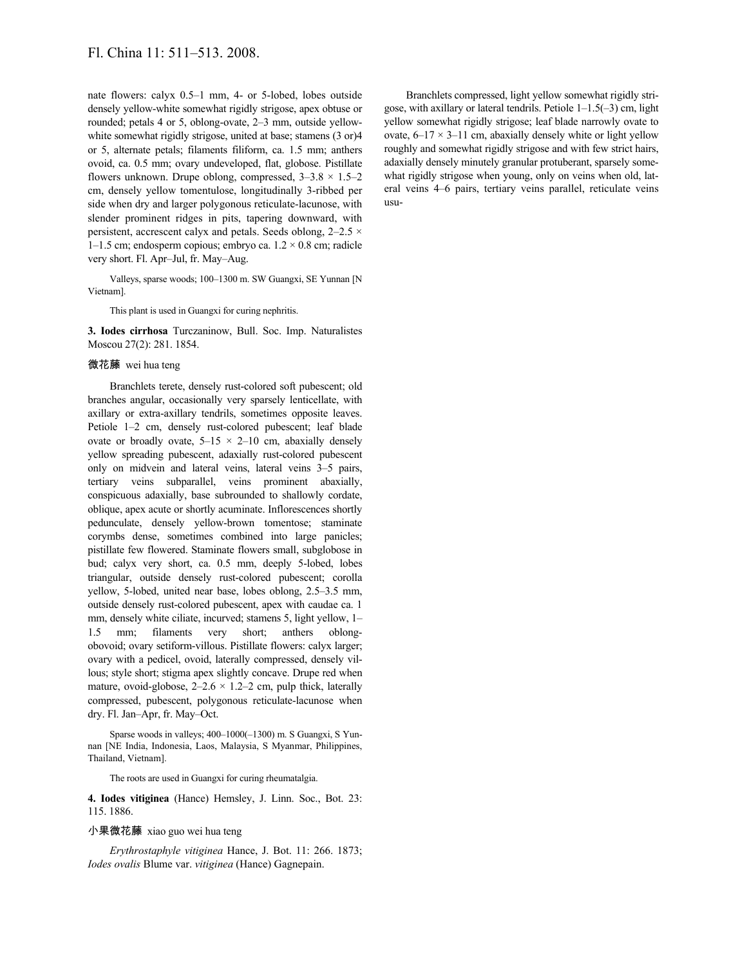nate flowers: calyx 0.5–1 mm, 4- or 5-lobed, lobes outside densely yellow-white somewhat rigidly strigose, apex obtuse or rounded; petals 4 or 5, oblong-ovate, 2–3 mm, outside yellowwhite somewhat rigidly strigose, united at base; stamens (3 or)4 or 5, alternate petals; filaments filiform, ca. 1.5 mm; anthers ovoid, ca. 0.5 mm; ovary undeveloped, flat, globose. Pistillate flowers unknown. Drupe oblong, compressed,  $3-3.8 \times 1.5-2$ cm, densely yellow tomentulose, longitudinally 3-ribbed per side when dry and larger polygonous reticulate-lacunose, with slender prominent ridges in pits, tapering downward, with persistent, accrescent calyx and petals. Seeds oblong,  $2-2.5 \times$ 1–1.5 cm; endosperm copious; embryo ca.  $1.2 \times 0.8$  cm; radicle very short. Fl. Apr–Jul, fr. May–Aug.

Valleys, sparse woods; 100–1300 m. SW Guangxi, SE Yunnan [N Vietnam].

This plant is used in Guangxi for curing nephritis.

**3. Iodes cirrhosa** Turczaninow, Bull. Soc. Imp. Naturalistes Moscou 27(2): 281. 1854.

### 微花藤 wei hua teng

Branchlets terete, densely rust-colored soft pubescent; old branches angular, occasionally very sparsely lenticellate, with axillary or extra-axillary tendrils, sometimes opposite leaves. Petiole 1–2 cm, densely rust-colored pubescent; leaf blade ovate or broadly ovate,  $5-15 \times 2-10$  cm, abaxially densely yellow spreading pubescent, adaxially rust-colored pubescent only on midvein and lateral veins, lateral veins 3–5 pairs, tertiary veins subparallel, veins prominent abaxially, conspicuous adaxially, base subrounded to shallowly cordate, oblique, apex acute or shortly acuminate. Inflorescences shortly pedunculate, densely yellow-brown tomentose; staminate corymbs dense, sometimes combined into large panicles; pistillate few flowered. Staminate flowers small, subglobose in bud; calyx very short, ca. 0.5 mm, deeply 5-lobed, lobes triangular, outside densely rust-colored pubescent; corolla yellow, 5-lobed, united near base, lobes oblong, 2.5–3.5 mm, outside densely rust-colored pubescent, apex with caudae ca. 1 mm, densely white ciliate, incurved; stamens 5, light yellow, 1– 1.5 mm; filaments very short; anthers oblongobovoid; ovary setiform-villous. Pistillate flowers: calyx larger; ovary with a pedicel, ovoid, laterally compressed, densely villous; style short; stigma apex slightly concave. Drupe red when mature, ovoid-globose,  $2-2.6 \times 1.2-2$  cm, pulp thick, laterally compressed, pubescent, polygonous reticulate-lacunose when dry. Fl. Jan–Apr, fr. May–Oct.

Sparse woods in valleys; 400–1000(–1300) m. S Guangxi, S Yunnan [NE India, Indonesia, Laos, Malaysia, S Myanmar, Philippines, Thailand, Vietnam].

The roots are used in Guangxi for curing rheumatalgia.

**4. Iodes vitiginea** (Hance) Hemsley, J. Linn. Soc., Bot. 23: 115. 1886.

### 小果微花藤 xiao guo wei hua teng

*Erythrostaphyle vitiginea* Hance, J. Bot. 11: 266. 1873; *Iodes ovalis* Blume var. *vitiginea* (Hance) Gagnepain.

Branchlets compressed, light yellow somewhat rigidly strigose, with axillary or lateral tendrils. Petiole 1–1.5(–3) cm, light yellow somewhat rigidly strigose; leaf blade narrowly ovate to ovate,  $6-17 \times 3-11$  cm, abaxially densely white or light yellow roughly and somewhat rigidly strigose and with few strict hairs, adaxially densely minutely granular protuberant, sparsely somewhat rigidly strigose when young, only on veins when old, lateral veins 4–6 pairs, tertiary veins parallel, reticulate veins usu-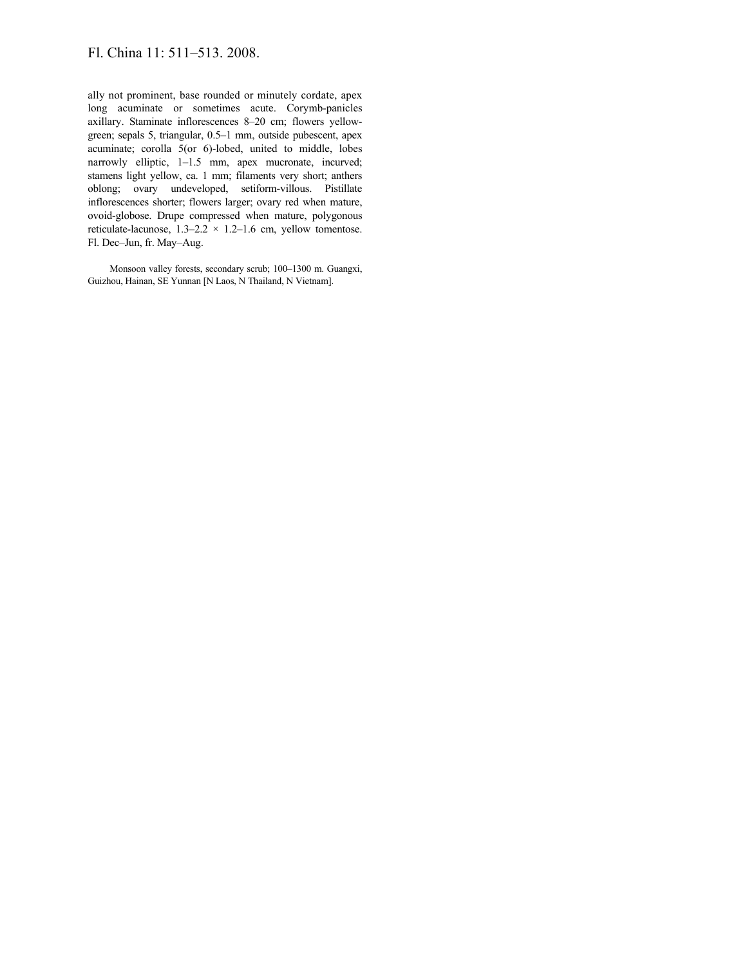# Fl. China 11: 511–513. 2008.

ally not prominent, base rounded or minutely cordate, apex long acuminate or sometimes acute. Corymb-panicles axillary. Staminate inflorescences 8–20 cm; flowers yellowgreen; sepals 5, triangular, 0.5–1 mm, outside pubescent, apex acuminate; corolla 5(or 6)-lobed, united to middle, lobes narrowly elliptic, 1–1.5 mm, apex mucronate, incurved; stamens light yellow, ca. 1 mm; filaments very short; anthers oblong; ovary undeveloped, setiform-villous. Pistillate inflorescences shorter; flowers larger; ovary red when mature, ovoid-globose. Drupe compressed when mature, polygonous reticulate-lacunose,  $1.3-2.2 \times 1.2-1.6$  cm, yellow tomentose. Fl. Dec–Jun, fr. May–Aug.

Monsoon valley forests, secondary scrub; 100–1300 m. Guangxi, Guizhou, Hainan, SE Yunnan [N Laos, N Thailand, N Vietnam].